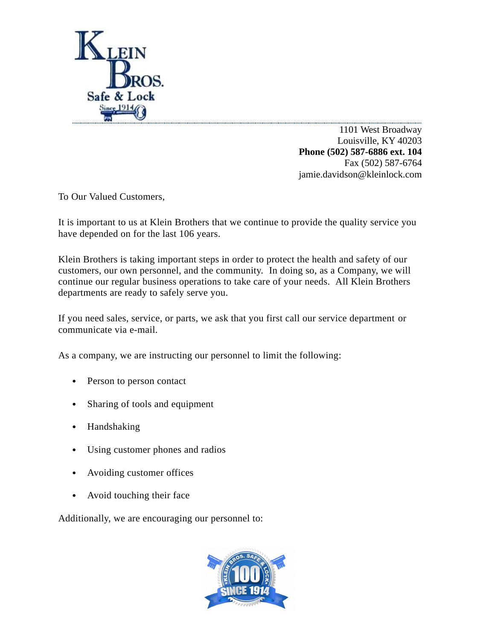

1101 West Broadway Louisville, KY 40203 **Phone (502) 587-6886 ext. 104** Fax (502) 587-6764 jamie.davidson@kleinlock.com

To Our Valued Customers,

It is important to us at Klein Brothers that we continue to provide the quality service you have depended on for the last 106 years.

Klein Brothers is taking important steps in order to protect the health and safety of our customers, our own personnel, and the community. In doing so, as a Company, we will continue our regular business operations to take care of your needs. All Klein Brothers departments are ready to safely serve you.

If you need sales, service, or parts, we ask that you first call our service department or communicate via e-mail.

As a company, we are instructing our personnel to limit the following:

- Person to person contact
- Sharing of tools and equipment
- Handshaking
- Using customer phones and radios
- Avoiding customer offices
- Avoid touching their face

Additionally, we are encouraging our personnel to: